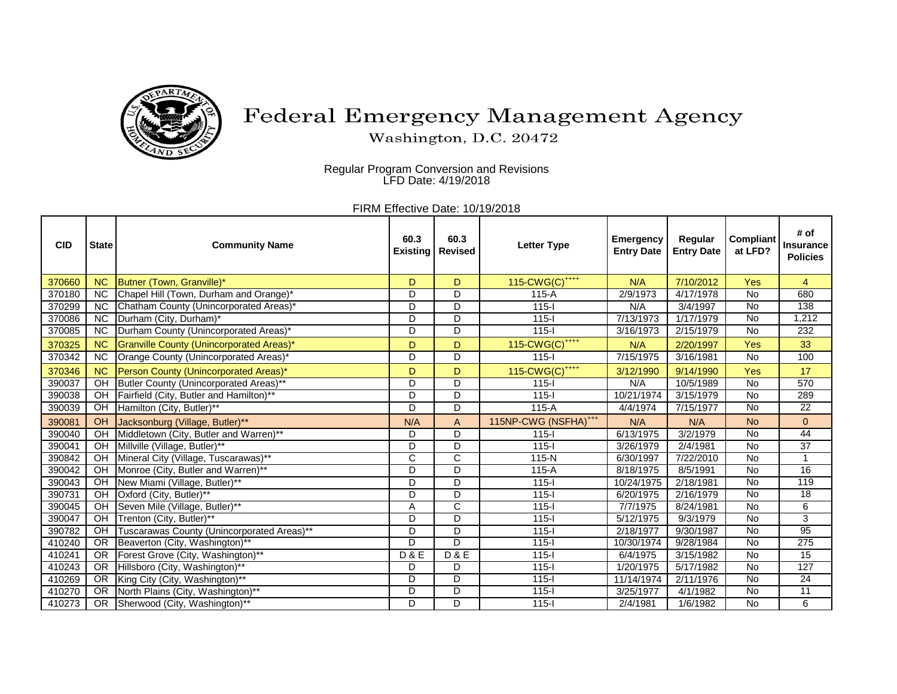

## Federal Emergency Management Agency

Washington, D.C. 20472

Regular Program Conversion and Revisions LFD Date: 4/19/2018

FIRM Effective Date: 10/19/2018

| <b>CID</b> | <b>State</b>           | <b>Community Name</b>                           | 60.3<br><b>Existing</b> | 60.3<br><b>Revised</b> | Letter Type                      | <b>Emergency</b><br><b>Entry Date</b> | Regular<br><b>Entry Date</b> | Compliant<br>at LFD? | # of<br><b>Insurance</b><br><b>Policies</b> |
|------------|------------------------|-------------------------------------------------|-------------------------|------------------------|----------------------------------|---------------------------------------|------------------------------|----------------------|---------------------------------------------|
| 370660     | <b>NC</b>              | Butner (Town, Granville)*                       | D                       | D                      | 115-CWG(C) <sup>++++</sup>       | N/A                                   | 7/10/2012                    | Yes                  | $\overline{4}$                              |
| 370180     | $\overline{\text{NC}}$ | Chapel Hill (Town, Durham and Orange)*          | D                       | D                      | $115-A$                          | 2/9/1973                              | 4/17/1978                    | <b>No</b>            | 680                                         |
| 370299     | <b>NC</b>              | Chatham County (Unincorporated Areas)*          | D                       | D                      | $115 -$                          | N/A                                   | 3/4/1997                     | <b>No</b>            | 138                                         |
| 370086     | <b>NC</b>              | Durham (City, Durham)*                          | D                       | D                      | $115 -$                          | 7/13/1973                             | 1/17/1979                    | <b>No</b>            | 1,212                                       |
| 370085     | $\overline{NC}$        | Durham County (Unincorporated Areas)*           | D                       | D                      | $115 -$                          | 3/16/1973                             | 2/15/1979                    | <b>No</b>            | 232                                         |
| 370325     | <b>NC</b>              | <b>Granville County (Unincorporated Areas)*</b> | D                       | D                      | 115-CWG(C) <sup>++++</sup>       | N/A                                   | 2/20/1997                    | Yes                  | 33                                          |
| 370342     | <b>NC</b>              | Orange County (Unincorporated Areas)*           | D                       | D                      | $115 -$                          | 7/15/1975                             | 3/16/1981                    | <b>No</b>            | 100                                         |
| 370346     | <b>NC</b>              | Person County (Unincorporated Areas)*           | D                       | D                      | 115-CWG(C) <sup>++++</sup>       | 3/12/1990                             | 9/14/1990                    | Yes                  | 17                                          |
| 390037     | OH                     | Butler County (Unincorporated Areas)**          | D                       | D                      | $115-I$                          | N/A                                   | 10/5/1989                    | No                   | 570                                         |
| 390038     | OH                     | Fairfield (City, Butler and Hamilton)**         | D                       | D                      | $115 -$                          | 10/21/1974                            | 3/15/1979                    | <b>No</b>            | 289                                         |
| 390039     | OH                     | Hamilton (City, Butler)**                       | D                       | D                      | $115-A$                          | 4/4/1974                              | 7/15/1977                    | <b>No</b>            | $\overline{22}$                             |
| 390081     | OH                     | Jacksonburg (Village, Butler)**                 | N/A                     | $\overline{A}$         | 115NP-CWG (NSFHA) <sup>+++</sup> | N/A                                   | N/A                          | <b>No</b>            | $\overline{0}$                              |
| 390040     | $\overline{CH}$        | Middletown (City, Butler and Warren)**          | D                       | $\overline{D}$         | $115 -$                          | 6/13/1975                             | 3/2/1979                     | <b>No</b>            | 44                                          |
| 390041     | OH                     | Millville (Village, Butler)**                   | D                       | D                      | $115 - 1$                        | 3/26/1979                             | 2/4/1981                     | $\overline{N}$       | $\overline{37}$                             |
| 390842     | OH                     | Mineral City (Village, Tuscarawas)**            | $\mathsf{C}$            | $\mathsf{C}$           | $115-N$                          | 6/30/1997                             | 7/22/2010                    | <b>No</b>            |                                             |
| 390042     | $\overline{O}$ H       | Monroe (City, Butler and Warren)**              | D                       | D                      | $115-A$                          | 8/18/1975                             | 8/5/1991                     | $\overline{N}$       | 16                                          |
| 390043     | OH                     | New Miami (Village, Butler)**                   | D                       | $\overline{D}$         | $115 -$                          | 10/24/1975                            | 2/18/1981                    | <b>No</b>            | 119                                         |
| 390731     | OH                     | Oxford (City, Butler)**                         | D                       | D                      | $115 -$                          | 6/20/1975                             | 2/16/1979                    | <b>No</b>            | $\overline{18}$                             |
| 390045     | $\overline{CH}$        | Seven Mile (Village, Butler)**                  | A                       | $\overline{C}$         | $115 -$                          | 7/7/1975                              | 8/24/1981                    | <b>No</b>            | 6                                           |
| 390047     | $\overline{O}$ H       | Trenton (City, Butler)**                        | D                       | D                      | $115 -$                          | 5/12/1975                             | 9/3/1979                     | $\overline{N}$       | 3                                           |
| 390782     | OH                     | Tuscarawas County (Unincorporated Areas)**      | D                       | D                      | $115 - 1$                        | 2/18/1977                             | 9/30/1987                    | <b>No</b>            | 95                                          |
| 410240     | $\overline{OR}$        | Beaverton (City, Washington)**                  | D                       | D                      | $115 -$                          | 10/30/1974                            | 9/28/1984                    | <b>No</b>            | $\overline{275}$                            |
| 410241     | $\overline{OR}$        | Forest Grove (City, Washington)**               | D & E                   | <b>D&amp;E</b>         | $115 -$                          | 6/4/1975                              | 3/15/1982                    | $\overline{N}$       | 15                                          |
| 410243     | $\overline{OR}$        | Hillsboro (City, Washington)**                  | D                       | $\overline{D}$         | $115 -$                          | 1/20/1975                             | 5/17/1982                    | $\overline{N}$       | 127                                         |
| 410269     | $\overline{OR}$        | King City (City, Washington)**                  | D                       | D                      | $115 -$                          | 11/14/1974                            | 2/11/1976                    | <b>No</b>            | $\overline{24}$                             |
| 410270     | $\overline{OR}$        | North Plains (City, Washington)**               | D                       | D                      | $115 -$                          | 3/25/1977                             | 4/1/1982                     | $\overline{N}$       | $\overline{11}$                             |
| 410273     | <b>OR</b>              | Sherwood (City, Washington)**                   | D                       | D                      | $115 -$                          | 2/4/1981                              | 1/6/1982                     | <b>No</b>            | 6                                           |